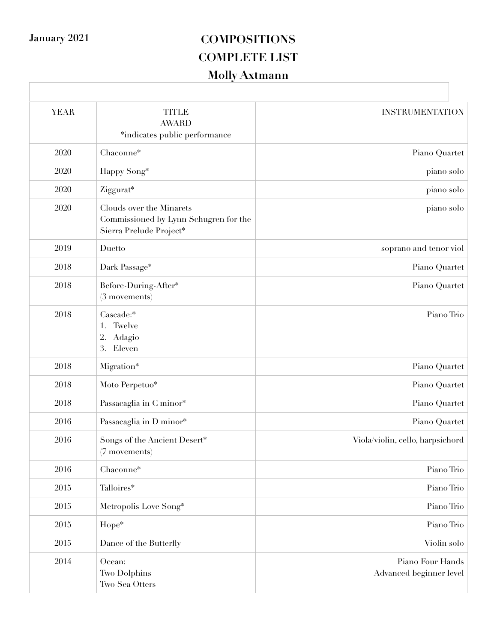### **January 2021 COMPOSITIONS COMPLETE LIST Molly Axtmann**

| <b>YEAR</b> | <b>TITLE</b><br><b>AWARD</b><br>*indicates public performance                                | <b>INSTRUMENTATION</b>                      |
|-------------|----------------------------------------------------------------------------------------------|---------------------------------------------|
| 2020        | Chaconne*                                                                                    | Piano Quartet                               |
| 2020        | Happy Song*                                                                                  | piano solo                                  |
| 2020        | Ziggurat*                                                                                    | piano solo                                  |
| 2020        | Clouds over the Minarets<br>Commissioned by Lynn Schugren for the<br>Sierra Prelude Project* | piano solo                                  |
| 2019        | Duetto                                                                                       | soprano and tenor viol                      |
| 2018        | Dark Passage*                                                                                | Piano Quartet                               |
| 2018        | Before-During-After*<br>$(3$ movements)                                                      | Piano Quartet                               |
| 2018        | Cascade:*<br>Twelve<br>1.<br>Adagio<br>2.<br>3.<br>Eleven                                    | Piano Trio                                  |
| 2018        | Migration*                                                                                   | Piano Quartet                               |
| 2018        | Moto Perpetuo*                                                                               | Piano Quartet                               |
| 2018        | Passacaglia in C minor*                                                                      | Piano Quartet                               |
| 2016        | Passacaglia in D minor*                                                                      | Piano Quartet                               |
| 2016        | Songs of the Ancient Desert*<br>(7 movements)                                                | Viola/violin, cello, harpsichord            |
| 2016        | Chaconne*                                                                                    | Piano Trio                                  |
| 2015        | Talloires*                                                                                   | Piano Trio                                  |
| $2015\,$    | Metropolis Love Song*                                                                        | Piano Trio                                  |
| $2015\,$    | Hope*                                                                                        | Piano Trio                                  |
| 2015        | Dance of the Butterfly                                                                       | Violin solo                                 |
| 2014        | Ocean:<br>Two Dolphins<br>Two Sea Otters                                                     | Piano Four Hands<br>Advanced beginner level |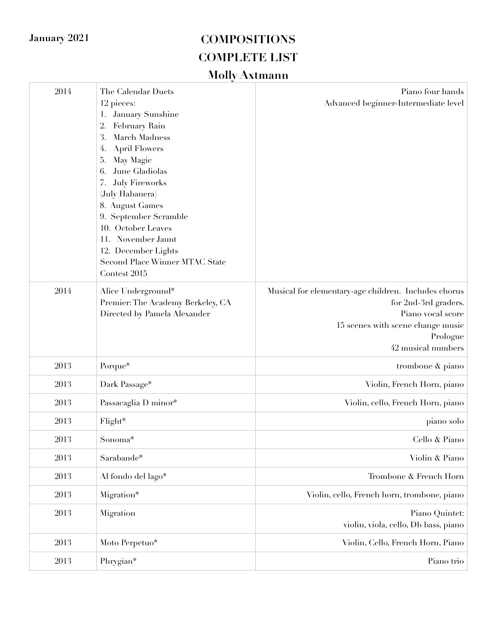| 2014 | The Calendar Duets<br>12 pieces:<br>January Sunshine<br>1.<br>February Rain<br>2.<br>March Madness<br>3.<br><b>April Flowers</b><br>4.<br>May Magic<br>5.<br>June Gladiolas<br>6.<br><b>July Fireworks</b><br>7.<br>(July Habanera)<br>8. August Games<br>9. September Scramble<br>10. October Leaves<br>11. November Jaunt<br>12. December Lights<br>Second Place Winner MTAC State<br>Contest 2015 | Piano four hands<br>Advanced beginner-Intermediate level                                                                                                                 |
|------|------------------------------------------------------------------------------------------------------------------------------------------------------------------------------------------------------------------------------------------------------------------------------------------------------------------------------------------------------------------------------------------------------|--------------------------------------------------------------------------------------------------------------------------------------------------------------------------|
| 2014 | Alice Underground*<br>Premier: The Academy Berkeley, CA<br>Directed by Pamela Alexander                                                                                                                                                                                                                                                                                                              | Musical for elementary-age children. Includes chorus<br>for 2nd-3rd graders.<br>Piano vocal score<br>15 scenes with scene change music<br>Prologue<br>42 musical numbers |
| 2013 | Porque*                                                                                                                                                                                                                                                                                                                                                                                              | trombone & piano                                                                                                                                                         |
| 2013 | Dark Passage*                                                                                                                                                                                                                                                                                                                                                                                        | Violin, French Horn, piano                                                                                                                                               |
| 2013 | Passacaglia D minor*                                                                                                                                                                                                                                                                                                                                                                                 | Violin, cello, French Horn, piano                                                                                                                                        |
| 2013 | Flight*                                                                                                                                                                                                                                                                                                                                                                                              | piano solo                                                                                                                                                               |
| 2013 | Sonoma*                                                                                                                                                                                                                                                                                                                                                                                              | Cello & Piano                                                                                                                                                            |
| 2013 | Sarabande*                                                                                                                                                                                                                                                                                                                                                                                           | Violin & Piano                                                                                                                                                           |
| 2013 | Al fondo del lago*                                                                                                                                                                                                                                                                                                                                                                                   | Trombone & French Horn                                                                                                                                                   |
| 2013 | Migration*                                                                                                                                                                                                                                                                                                                                                                                           | Violin, cello, French horn, trombone, piano                                                                                                                              |
| 2013 | Migration                                                                                                                                                                                                                                                                                                                                                                                            | Piano Quintet:<br>violin, viola, cello, Db bass, piano                                                                                                                   |
| 2013 | Moto Perpetuo*                                                                                                                                                                                                                                                                                                                                                                                       | Violin, Cello, French Horn, Piano                                                                                                                                        |
| 2013 | Phrygian*                                                                                                                                                                                                                                                                                                                                                                                            | Piano trio                                                                                                                                                               |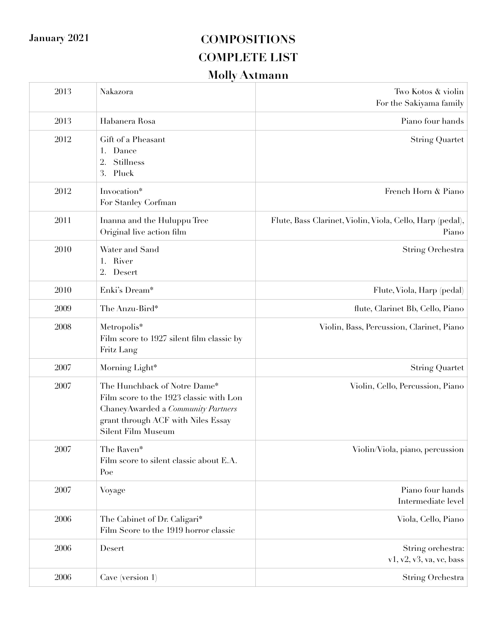| 2013 | Nakazora                                                                                                                                                                   | Two Kotos & violin<br>For the Sakiyama family                      |
|------|----------------------------------------------------------------------------------------------------------------------------------------------------------------------------|--------------------------------------------------------------------|
| 2013 | Habanera Rosa                                                                                                                                                              | Piano four hands                                                   |
| 2012 | Gift of a Pheasant<br>Dance<br>1.<br>Stillness<br>2.<br>3. Pluck                                                                                                           | <b>String Quartet</b>                                              |
| 2012 | Invocation*<br>For Stanley Corfman                                                                                                                                         | French Horn & Piano                                                |
| 2011 | Inanna and the Huluppu Tree<br>Original live action film                                                                                                                   | Flute, Bass Clarinet, Violin, Viola, Cello, Harp (pedal),<br>Piano |
| 2010 | Water and Sand<br>1. River<br>2. Desert                                                                                                                                    | String Orchestra                                                   |
| 2010 | Enki's Dream*                                                                                                                                                              | Flute, Viola, Harp (pedal)                                         |
| 2009 | The Anzu-Bird*                                                                                                                                                             | flute, Clarinet Bb, Cello, Piano                                   |
| 2008 | Metropolis*<br>Film score to 1927 silent film classic by<br>Fritz Lang                                                                                                     | Violin, Bass, Percussion, Clarinet, Piano                          |
| 2007 | Morning Light*                                                                                                                                                             | <b>String Quartet</b>                                              |
| 2007 | The Hunchback of Notre Dame*<br>Film score to the 1923 classic with Lon<br>Chaney Awarded a Community Partners<br>grant through ACF with Niles Essay<br>Silent Film Museum | Violin, Cello, Percussion, Piano                                   |
| 2007 | The Raven*<br>Film score to silent classic about E.A.<br>Poe                                                                                                               | Violin/Viola, piano, percussion                                    |
| 2007 | Voyage                                                                                                                                                                     | Piano four hands<br>Intermediate level                             |
| 2006 | The Cabinet of Dr. Caligari*<br>Film Score to the 1919 horror classic                                                                                                      | Viola, Cello, Piano                                                |
| 2006 | Desert                                                                                                                                                                     | String orchestra:<br>v1, v2, v3, va, vc, bass                      |
| 2006 | Cave (version 1)                                                                                                                                                           | String Orchestra                                                   |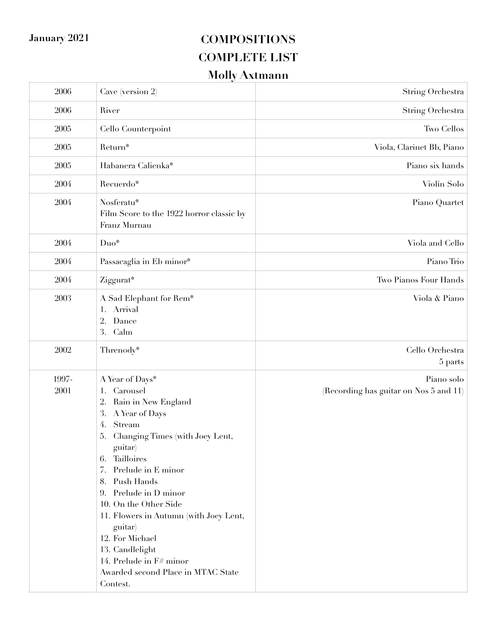| $2006\,$      | Cave (version 2)                                                                                                                                                                                                                                                                                                                                                                                                                                   | String Orchestra                                     |
|---------------|----------------------------------------------------------------------------------------------------------------------------------------------------------------------------------------------------------------------------------------------------------------------------------------------------------------------------------------------------------------------------------------------------------------------------------------------------|------------------------------------------------------|
| 2006          | River                                                                                                                                                                                                                                                                                                                                                                                                                                              | <b>String Orchestra</b>                              |
| 2005          | Cello Counterpoint                                                                                                                                                                                                                                                                                                                                                                                                                                 | Two Cellos                                           |
| 2005          | Return*                                                                                                                                                                                                                                                                                                                                                                                                                                            | Viola, Clarinet Bb, Piano                            |
| 2005          | Habanera Calienka*                                                                                                                                                                                                                                                                                                                                                                                                                                 | Piano six hands                                      |
| 2004          | Recuerdo*                                                                                                                                                                                                                                                                                                                                                                                                                                          | Violin Solo                                          |
| 2004          | Nosferatu*<br>Film Score to the 1922 horror classic by<br>Franz Murnau                                                                                                                                                                                                                                                                                                                                                                             | Piano Quartet                                        |
| $2004\,$      | Duo*                                                                                                                                                                                                                                                                                                                                                                                                                                               | Viola and Cello                                      |
| 2004          | Passacaglia in Eb minor*                                                                                                                                                                                                                                                                                                                                                                                                                           | Piano Trio                                           |
| 2004          | Ziggurat*                                                                                                                                                                                                                                                                                                                                                                                                                                          | Two Pianos Four Hands                                |
| 2003          | A Sad Elephant for Rem*<br>1. Arrival<br>2.<br>Dance<br>3. Calm                                                                                                                                                                                                                                                                                                                                                                                    | Viola & Piano                                        |
| 2002          | Threnody*                                                                                                                                                                                                                                                                                                                                                                                                                                          | Cello Orchestra<br>5 parts                           |
| 1997-<br>2001 | A Year of Days*<br>Carousel<br>1.<br>Rain in New England<br>2.<br>3.<br>A Year of Days<br>Stream<br>4.<br>Changing Times (with Joey Lent,<br>5.<br>guitar)<br>6. Tailloires<br>Prelude in E minor<br>7.<br>8. Push Hands<br>9. Prelude in D minor<br>10. On the Other Side<br>11. Flowers in Autumn (with Joey Lent,<br>guitar)<br>12. For Michael<br>13. Candlelight<br>14. Prelude in F# minor<br>Awarded second Place in MTAC State<br>Contest. | Piano solo<br>(Recording has guitar on Nos 5 and 11) |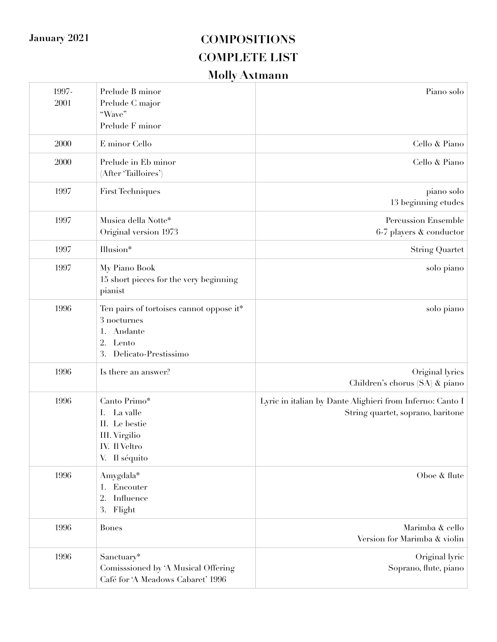| 1997-<br>2001 | Prelude B minor<br>Prelude C major<br>"Wave"<br>Prelude F minor                                                 | Piano solo                                                                                     |
|---------------|-----------------------------------------------------------------------------------------------------------------|------------------------------------------------------------------------------------------------|
| 2000          | E minor Cello                                                                                                   | Cello & Piano                                                                                  |
| 2000          | Prelude in Eb minor<br>(After 'Tailloires')                                                                     | Cello & Piano                                                                                  |
| 1997          | First Techniques                                                                                                | piano solo<br>13 beginning etudes                                                              |
| 1997          | Musica della Notte*<br>Original version 1973                                                                    | <b>Percussion Ensemble</b><br>$6-7$ players $\&$ conductor                                     |
| 1997          | Illusion*                                                                                                       | <b>String Quartet</b>                                                                          |
| 1997          | My Piano Book<br>15 short pieces for the very beginning<br>pianist                                              | solo piano                                                                                     |
| 1996          | Ten pairs of tortoises cannot oppose it*<br>3 nocturnes<br>Andante<br>2.<br>Lento<br>3.<br>Delicato-Prestissimo | solo piano                                                                                     |
| 1996          | Is there an answer?                                                                                             | Original lyrics<br>Children's chorus (SA) & piano                                              |
| 1996          | Canto Primo*<br>La valle<br>I.<br>II. Le bestie<br>III. Virgilio<br>IV. Il Veltro<br>V. Il séquito              | Lyric in italian by Dante Alighieri from Inferno: Canto I<br>String quartet, soprano, baritone |
| 1996          | Amygdala*<br>Encouter<br>2.<br>Influence<br>3. Flight                                                           | Oboe & flute                                                                                   |
| 1996          | <b>Bones</b>                                                                                                    | Marimba & cello<br>Version for Marimba & violin                                                |
| 1996          | Sanctuary*<br>Comisssioned by 'A Musical Offering<br>Café for 'A Meadows Cabaret' 1996                          | Original lyric<br>Soprano, flute, piano                                                        |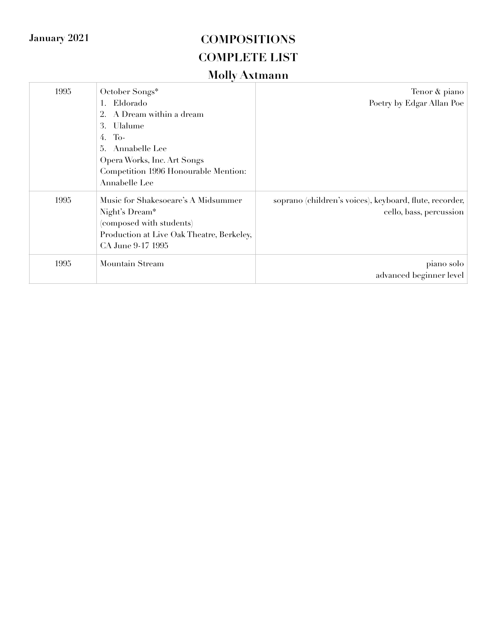| 1995 | October Songs*<br>Eldorado<br>A Dream within a dream<br>Ulalume<br>3.<br>To-<br>4.<br>Annabelle Lee<br>5.<br>Opera Works, Inc. Art Songs<br>Competition 1996 Honourable Mention:<br>Annabelle Lee | Tenor & piano<br>Poetry by Edgar Allan Poe                                         |
|------|---------------------------------------------------------------------------------------------------------------------------------------------------------------------------------------------------|------------------------------------------------------------------------------------|
| 1995 | Music for Shakesoeare's A Midsummer<br>Night's Dream*<br>(composed with students)<br>Production at Live Oak Theatre, Berkeley,<br>CA June 9-17 1995                                               | soprano (children's voices), keyboard, flute, recorder,<br>cello, bass, percussion |
| 1995 | Mountain Stream                                                                                                                                                                                   | piano solo<br>advanced beginner level                                              |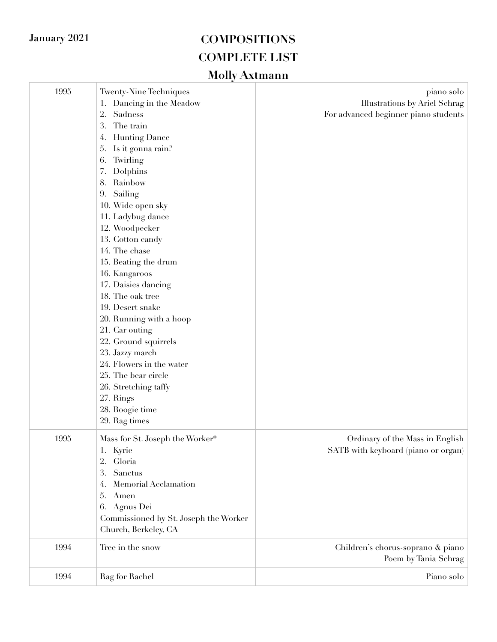| 1995 | <b>Twenty-Nine Techniques</b><br>Dancing in the Meadow<br>1.<br>2.<br>Sadness<br>3.<br>The train<br><b>Hunting Dance</b><br>4.<br>Is it gonna rain?<br>5.<br>6.<br>Twirling<br>7.<br>Dolphins<br>8.<br>Rainbow<br>Sailing<br>9.<br>10. Wide open sky<br>11. Ladybug dance<br>12. Woodpecker<br>13. Cotton candy<br>14. The chase<br>15. Beating the drum<br>16. Kangaroos<br>17. Daisies dancing<br>18. The oak tree<br>19. Desert snake<br>20. Running with a hoop<br>21. Car outing<br>22. Ground squirrels<br>23. Jazzy march<br>24. Flowers in the water<br>25. The bear circle<br>26. Stretching taffy<br>27. Rings<br>28. Boogie time<br>29. Rag times | piano solo<br>Illustrations by Ariel Schrag<br>For advanced beginner piano students |
|------|--------------------------------------------------------------------------------------------------------------------------------------------------------------------------------------------------------------------------------------------------------------------------------------------------------------------------------------------------------------------------------------------------------------------------------------------------------------------------------------------------------------------------------------------------------------------------------------------------------------------------------------------------------------|-------------------------------------------------------------------------------------|
| 1995 | Mass for St. Joseph the Worker*<br>Kyrie<br>1.<br>2.<br>Gloria<br>3.<br>Sanctus<br>Memorial Acclamation<br>4.<br>5.<br>Amen<br>Agnus Dei<br>6.<br>Commissioned by St. Joseph the Worker<br>Church, Berkeley, CA                                                                                                                                                                                                                                                                                                                                                                                                                                              | Ordinary of the Mass in English<br>SATB with keyboard (piano or organ)              |
| 1994 | Tree in the snow                                                                                                                                                                                                                                                                                                                                                                                                                                                                                                                                                                                                                                             | Children's chorus-soprano & piano<br>Poem by Tania Schrag                           |
| 1994 | Rag for Rachel                                                                                                                                                                                                                                                                                                                                                                                                                                                                                                                                                                                                                                               | Piano solo                                                                          |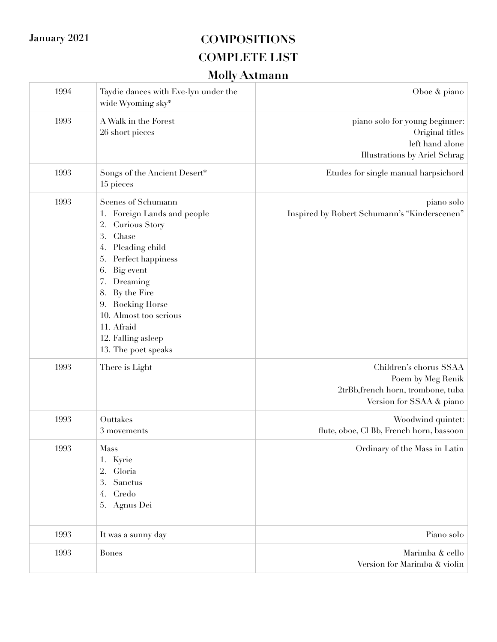| Oboe & piano                                                                                                  | Taydie dances with Eve-lyn under the<br>wide Wyoming sky*                                                                                                                                                                                                                                                                  | 1994 |
|---------------------------------------------------------------------------------------------------------------|----------------------------------------------------------------------------------------------------------------------------------------------------------------------------------------------------------------------------------------------------------------------------------------------------------------------------|------|
| piano solo for young beginner:<br>Original titles<br>left hand alone<br>Illustrations by Ariel Schrag         | A Walk in the Forest<br>26 short pieces                                                                                                                                                                                                                                                                                    | 1993 |
| Etudes for single manual harpsichord                                                                          | Songs of the Ancient Desert*<br>15 pieces                                                                                                                                                                                                                                                                                  | 1993 |
| piano solo<br>Inspired by Robert Schumann's "Kinderscenen"                                                    | Scenes of Schumann<br>Foreign Lands and people<br>1.<br><b>Curious Story</b><br>2.<br>3.<br>Chase<br>Pleading child<br>4.<br>Perfect happiness<br>5.<br>Big event<br>6.<br>Dreaming<br>7.<br>By the Fire<br>8.<br>Rocking Horse<br>9.<br>10. Almost too serious<br>11. Afraid<br>12. Falling asleep<br>13. The poet speaks | 1993 |
| Children's chorus SSAA<br>Poem by Meg Renik<br>2trBb, french horn, trombone, tuba<br>Version for SSAA & piano | There is Light                                                                                                                                                                                                                                                                                                             | 1993 |
| Woodwind quintet:<br>flute, oboe, Cl Bb, French horn, bassoon                                                 | Outtakes<br>$3\mbox{ movements}$                                                                                                                                                                                                                                                                                           | 1993 |
| Ordinary of the Mass in Latin                                                                                 | Mass<br>1. Kyrie<br>2.<br>Gloria<br>3.<br>Sanctus<br>Credo<br>4.<br>Agnus Dei<br>5.                                                                                                                                                                                                                                        | 1993 |
| Piano solo                                                                                                    | It was a sunny day                                                                                                                                                                                                                                                                                                         | 1993 |
| Marimba & cello<br>Version for Marimba & violin                                                               | <b>Bones</b>                                                                                                                                                                                                                                                                                                               | 1993 |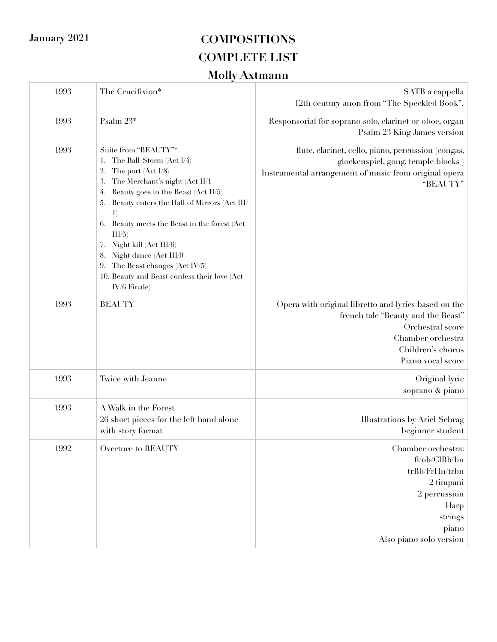| 1993 | The Crucifixion*                                                                                                                                                                                                                                                                                                                                                                                                                                                                       | SATB a cappella<br>12th century anon from "The Speckled Book".                                                                                                                |
|------|----------------------------------------------------------------------------------------------------------------------------------------------------------------------------------------------------------------------------------------------------------------------------------------------------------------------------------------------------------------------------------------------------------------------------------------------------------------------------------------|-------------------------------------------------------------------------------------------------------------------------------------------------------------------------------|
| 1993 | Psalm 23*                                                                                                                                                                                                                                                                                                                                                                                                                                                                              | Responsorial for soprano solo, clarinet or oboe, organ<br>Psalm 23 King James version                                                                                         |
| 1993 | Suite from "BEAUTY"*<br>The Ball-Storm (Act I/4)<br>1.<br>The port (Act I/8)<br>2.<br>The Merchant's night (Act II/1<br>3.<br>Beauty goes to the Beast (Act II/5)<br>4.<br>Beauty enters the Hall of Mirrors (Act III/<br>5.<br>$\ket{1}$<br>Beauty meets the Beast in the forest (Act<br>6.<br>$\text{III/5}$<br>Night kill (Act III/6)<br>7.<br>Night dance (Act III/9<br>8.<br>The Beast changes (Act IV/5)<br>9.<br>10. Beauty and Beast confess their love (Act<br>$IV/6$ Finale) | flute, clarinet, cello, piano, percussion (congas,<br>glockenspiel, gong, temple blocks)<br>Instrumental arrangement of music from original opera<br>"BEAUTY"                 |
| 1993 | <b>BEAUTY</b>                                                                                                                                                                                                                                                                                                                                                                                                                                                                          | Opera with original libretto and lyrics based on the<br>french tale "Beauty and the Beast"<br>Orchestral score<br>Chamber orchestra<br>Children's chorus<br>Piano vocal score |
| 1993 | Twice with Jeanne                                                                                                                                                                                                                                                                                                                                                                                                                                                                      | Original lyric<br>soprano & piano                                                                                                                                             |
| 1993 | A Walk in the Forest<br>26 short pieces for the left hand alone<br>with story format                                                                                                                                                                                                                                                                                                                                                                                                   | Illustrations by Ariel Schrag<br>beginner student                                                                                                                             |
| 1992 | Overture to BEAUTY                                                                                                                                                                                                                                                                                                                                                                                                                                                                     | Chamber orchestra:<br>fl/ob/ClBb/bn<br>trBb/FrHn/trbn<br>2 timpani<br>2 percussion<br>Harp<br>strings<br>piano<br>Also piano solo version                                     |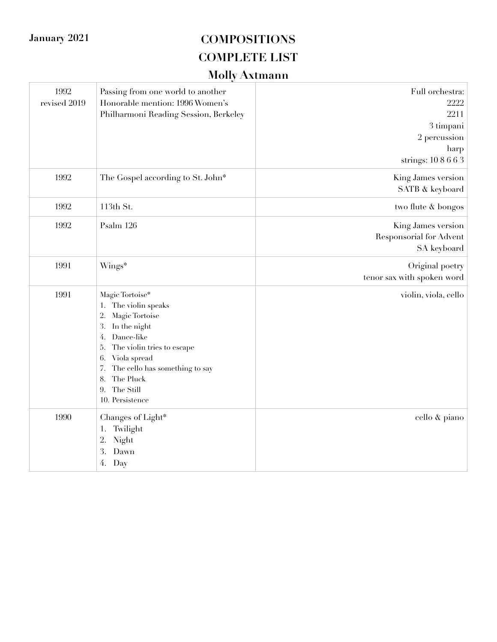| 1992<br>revised 2019 | Passing from one world to another<br>Honorable mention: 1996 Women's<br>Philharmoni Reading Session, Berkeley                                                                                                                                                        | Full orchestra:<br>2222<br>2211<br>3 timpani<br>2 percussion<br>harp<br>strings: 108663 |
|----------------------|----------------------------------------------------------------------------------------------------------------------------------------------------------------------------------------------------------------------------------------------------------------------|-----------------------------------------------------------------------------------------|
| 1992                 | The Gospel according to St. John*                                                                                                                                                                                                                                    | King James version<br>SATB & keyboard                                                   |
| 1992                 | 113th St.                                                                                                                                                                                                                                                            | two flute & bongos                                                                      |
| 1992                 | Psalm 126                                                                                                                                                                                                                                                            | King James version<br><b>Responsorial for Advent</b><br>SA keyboard                     |
| 1991                 | Wings*                                                                                                                                                                                                                                                               | Original poetry<br>tenor sax with spoken word                                           |
| 1991                 | Magic Tortoise*<br>1. The violin speaks<br>Magic Tortoise<br>2.<br>In the night<br>3.<br>Dance-like<br>4.<br>The violin tries to escape<br>5.<br>6.<br>Viola spread<br>The cello has something to say<br>7.<br>The Pluck<br>8.<br>The Still<br>9.<br>10. Persistence | violin, viola, cello                                                                    |
| 1990                 | Changes of Light*<br>Twilight<br>1.<br>2.<br>Night<br>3.<br>Dawn<br>4. Day                                                                                                                                                                                           | cello & piano                                                                           |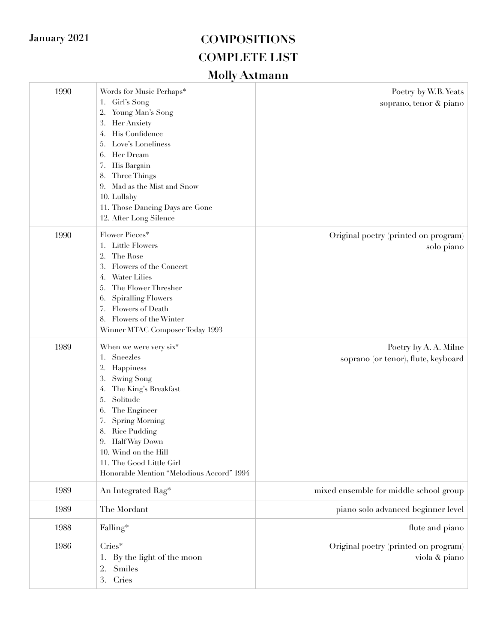| 1990 | Words for Music Perhaps*<br>Girl's Song<br>1.<br>Young Man's Song<br>2.<br>3.<br>Her Anxiety<br>His Confidence<br>4.<br>Love's Loneliness<br>5.<br>Her Dream<br>6.<br>His Bargain<br>7.<br>Three Things<br>8.<br>Mad as the Mist and Snow<br>9.<br>10. Lullaby<br>11. Those Dancing Days are Gone<br>12. After Long Silence | Poetry by W.B. Yeats<br>soprano, tenor & piano               |
|------|-----------------------------------------------------------------------------------------------------------------------------------------------------------------------------------------------------------------------------------------------------------------------------------------------------------------------------|--------------------------------------------------------------|
| 1990 | Flower Pieces*<br>Little Flowers<br>1.<br>2.<br>The Rose<br>3.<br>Flowers of the Concert<br><b>Water Lilies</b><br>4.<br>The Flower Thresher<br>5.<br><b>Spiralling Flowers</b><br>6.<br>Flowers of Death<br>7.<br>8. Flowers of the Winter<br>Winner MTAC Composer Today 1993                                              | Original poetry (printed on program)<br>solo piano           |
| 1989 | When we were very six*<br>Sneezles<br>1.<br>Happiness<br>2.<br>3.<br>Swing Song<br>The King's Breakfast<br>4.<br>Solitude<br>5.<br>The Engineer<br>6.<br>7.<br>Spring Morning<br>Rice Pudding<br>8.<br>9. Half Way Down<br>10. Wind on the Hill<br>11. The Good Little Girl<br>Honorable Mention "Melodious Accord" 1994    | Poetry by A. A. Milne<br>soprano (or tenor), flute, keyboard |
| 1989 | An Integrated Rag*                                                                                                                                                                                                                                                                                                          | mixed ensemble for middle school group                       |
| 1989 | The Mordant                                                                                                                                                                                                                                                                                                                 | piano solo advanced beginner level                           |
| 1988 | Falling*                                                                                                                                                                                                                                                                                                                    | flute and piano                                              |
| 1986 | Cries*<br>By the light of the moon<br>1.<br>Smiles<br>2.<br>Cries<br>3.                                                                                                                                                                                                                                                     | Original poetry (printed on program)<br>viola & piano        |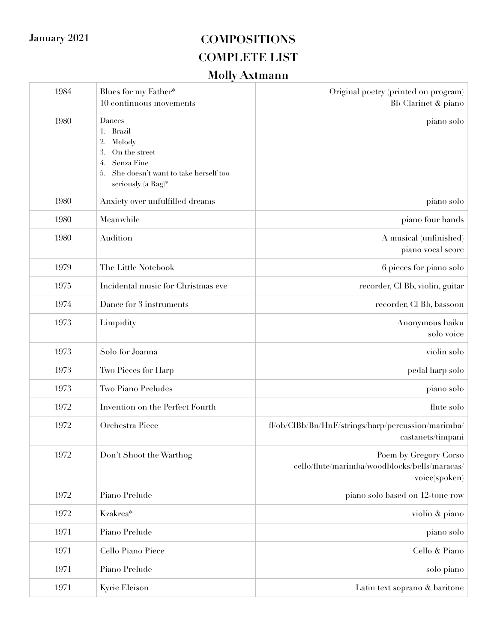| 1984 | Blues for my Father*<br>10 continuous movements                                                                                                              | Original poetry (printed on program)<br>Bb Clarinet & piano                             |
|------|--------------------------------------------------------------------------------------------------------------------------------------------------------------|-----------------------------------------------------------------------------------------|
| 1980 | Dances<br><b>Brazil</b><br>1.<br>Melody<br>2.<br>3.<br>On the street<br>Senza Fine<br>4.<br>She doesn't want to take herself too<br>5.<br>seriously (a Rag)* | piano solo                                                                              |
| 1980 | Anxiety over unfulfilled dreams                                                                                                                              | piano solo                                                                              |
| 1980 | Meanwhile                                                                                                                                                    | piano four hands                                                                        |
| 1980 | Audition                                                                                                                                                     | A musical (unfinished)<br>piano vocal score                                             |
| 1979 | The Little Notebook                                                                                                                                          | 6 pieces for piano solo                                                                 |
| 1975 | Incidental music for Christmas eve                                                                                                                           | recorder, Cl Bb, violin, guitar                                                         |
| 1974 | Dance for 3 instruments                                                                                                                                      | recorder, Cl Bb, bassoon                                                                |
| 1973 | Limpidity                                                                                                                                                    | Anonymous haiku<br>solo voice                                                           |
| 1973 | Solo for Joanna                                                                                                                                              | violin solo                                                                             |
| 1973 | Two Pieces for Harp                                                                                                                                          | pedal harp solo                                                                         |
| 1973 | Two Piano Preludes                                                                                                                                           | piano solo                                                                              |
| 1972 | Invention on the Perfect Fourth                                                                                                                              | flute solo                                                                              |
| 1972 | Orchestra Piece                                                                                                                                              | fl/ob/ClBb/Bn/HnF/strings/harp/percussion/marimba/<br>castanets/timpani                 |
| 1972 | Don't Shoot the Warthog                                                                                                                                      | Poem by Gregory Corso<br>cello/flute/marimba/woodblocks/bells/maracas/<br>voice(spoken) |
| 1972 | Piano Prelude                                                                                                                                                | piano solo based on 12-tone row                                                         |
| 1972 | Kzakrea*                                                                                                                                                     | violin & piano                                                                          |
| 1971 | Piano Prelude                                                                                                                                                | piano solo                                                                              |
| 1971 | Cello Piano Piece                                                                                                                                            | Cello & Piano                                                                           |
| 1971 | Piano Prelude                                                                                                                                                | solo piano                                                                              |
| 1971 | Kyrie Eleison                                                                                                                                                | Latin text soprano & baritone                                                           |